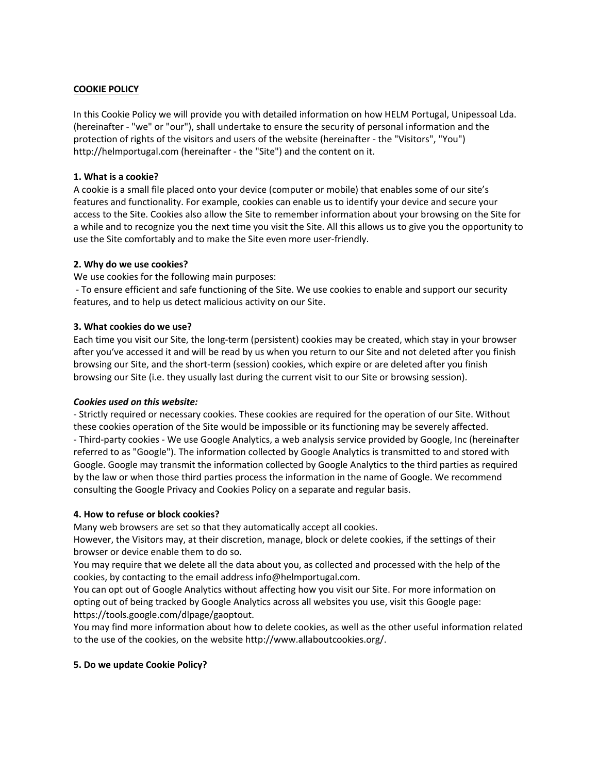# **COOKIE POLICY**

In this Cookie Policy we will provide you with detailed information on how HELM Portugal, Unipessoal Lda. (hereinafter - "we" or "our"), shall undertake to ensure the security of personal information and the protection of rights of the visitors and users of the website (hereinafter - the "Visitors", "You") http://helmportugal.com (hereinafter - the "Site") and the content on it.

# **1. What is a cookie?**

A cookie is a small file placed onto your device (computer or mobile) that enables some of our site's features and functionality. For example, cookies can enable us to identify your device and secure your access to the Site. Cookies also allow the Site to remember information about your browsing on the Site for a while and to recognize you the next time you visit the Site. All this allows us to give you the opportunity to use the Site comfortably and to make the Site even more user-friendly.

### **2. Why do we use cookies?**

We use cookies for the following main purposes:

- To ensure efficient and safe functioning of the Site. We use cookies to enable and support our security features, and to help us detect malicious activity on our Site.

### **3. What cookies do we use?**

Each time you visit our Site, the long-term (persistent) cookies may be created, which stay in your browser after you've accessed it and will be read by us when you return to our Site and not deleted after you finish browsing our Site, and the short-term (session) cookies, which expire or are deleted after you finish browsing our Site (i.e. they usually last during the current visit to our Site or browsing session).

### *Cookies used on this website:*

- Strictly required or necessary cookies. These cookies are required for the operation of our Site. Without these cookies operation of the Site would be impossible or its functioning may be severely affected. - Third-party cookies - We use Google Analytics, a web analysis service provided by Google, Inc (hereinafter referred to as "Google"). The information collected by Google Analytics is transmitted to and stored with Google. Google may transmit the information collected by Google Analytics to the third parties as required by the law or when those third parties process the information in the name of Google. We recommend consulting the Google Privacy and Cookies Policy on a separate and regular basis.

### **4. How to refuse or block cookies?**

Many web browsers are set so that they automatically accept all cookies.

However, the Visitors may, at their discretion, manage, block or delete cookies, if the settings of their browser or device enable them to do so.

You may require that we delete all the data about you, as collected and processed with the help of the cookies, by contacting to the email address info@helmportugal.com.

You can opt out of Google Analytics without affecting how you visit our Site. For more information on opting out of being tracked by Google Analytics across all websites you use, visit this Google page: https://tools.google.com/dlpage/gaoptout.

You may find more information about how to delete cookies, as well as the other useful information related to the use of the cookies, on the website http://www.allaboutcookies.org/.

### **5. Do we update Cookie Policy?**